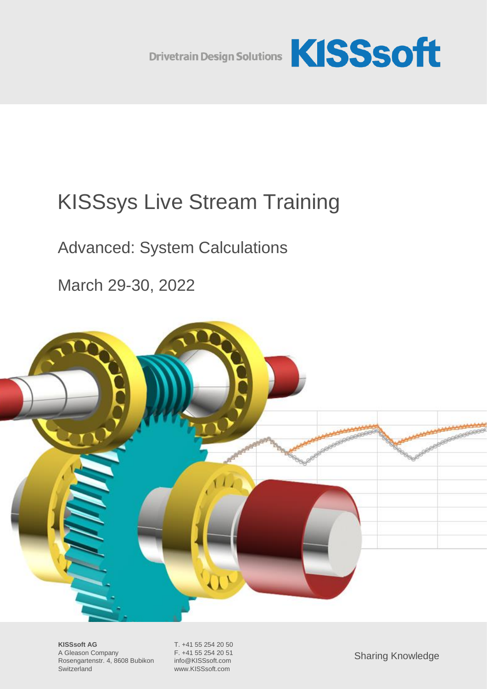

# KISSsys Live Stream Training

## Advanced: System Calculations

March 29-30, 2022



**KISSsoft AG** T. +41 55 254 20 50<br>A Gleason Company F. +41 55 254 20 51 A Gleason Company Rosengartenstr. 4, 8608 Bubikon info@KISSsoft.com Switzerland www.KISSsoft.com

Sharing Knowledge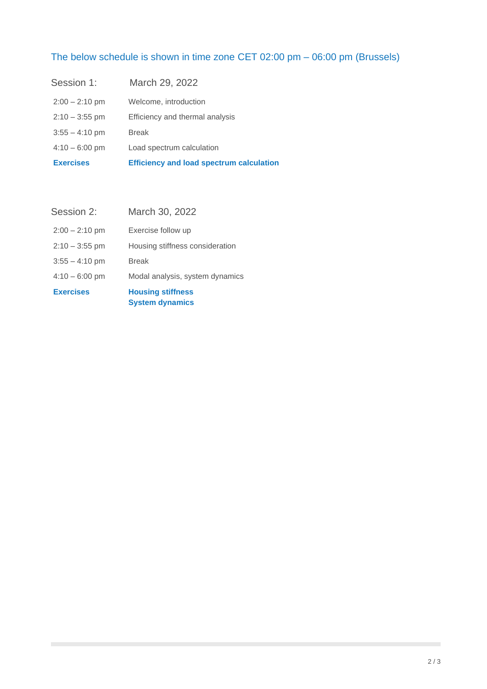### The below schedule is shown in time zone CET 02:00 pm – 06:00 pm (Brussels)

| <b>Exercises</b> | <b>Efficiency and load spectrum calculation</b> |
|------------------|-------------------------------------------------|
| $4:10 - 6:00$ pm | Load spectrum calculation                       |
| $3:55 - 4:10$ pm | <b>Break</b>                                    |
| $2:10 - 3:55$ pm | Efficiency and thermal analysis                 |
| $2:00 - 2:10$ pm | Welcome, introduction                           |
| Session 1:       | March 29, 2022                                  |

| <b>Exercises</b>         | <b>Housing stiffness</b><br><b>System dynamics</b> |
|--------------------------|----------------------------------------------------|
| $4:10 - 6:00$ pm         | Modal analysis, system dynamics                    |
| $3:55 - 4:10 \text{ pm}$ | <b>Break</b>                                       |
| $2:10 - 3:55$ pm         | Housing stiffness consideration                    |
| $2:00 - 2:10$ pm         | Exercise follow up                                 |
| Session 2:               | March 30, 2022                                     |